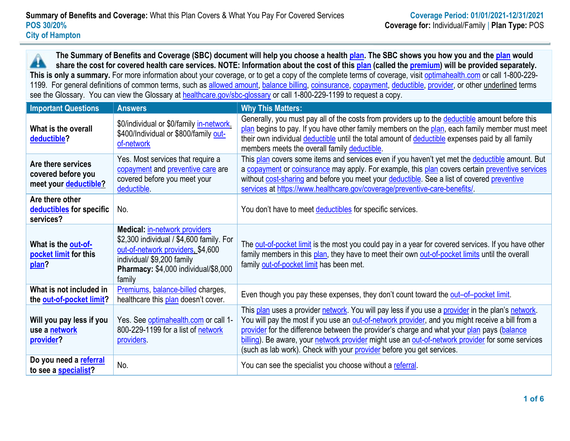**The Summary of Benefits and Coverage (SBC) document will help you choose a health [plan.](https://www.healthcare.gov/sbc-glossary/#plan) The SBC shows you how you and the [plan](https://www.healthcare.gov/sbc-glossary/#plan) would** æ **share the cost for covered health care services. NOTE: Information about the cost of this [plan](https://www.healthcare.gov/sbc-glossary/#plan) (called the [premium\)](https://www.healthcare.gov/sbc-glossary/#premium) will be provided separately. This is only a summary.** For more information about your coverage, or to get a copy of the complete terms of coverage, visit [optimahealth.com](http://www.optimahealth.com/Pages/default.aspx) or call 1-800-229 1199. For general definitions of common terms, such as [allowed amount,](https://www.healthcare.gov/sbc-glossary/#allowed-amount) [balance billing,](https://www.healthcare.gov/sbc-glossary/#balance-billing) [coinsurance,](https://www.healthcare.gov/sbc-glossary/#coinsurance) [copayment,](https://www.healthcare.gov/sbc-glossary/#copayment) [deductible,](https://www.healthcare.gov/sbc-glossary/#deductible) [provider,](https://www.healthcare.gov/sbc-glossary/#provider) or other underlined terms see the Glossary. You can view the Glossary at [healthcare.gov/sbc-glossary](https://www.healthcare.gov/sbc-glossary/) or call 1-800-229-1199 to request a copy.

| <b>Important Questions</b>                                        | <b>Answers</b>                                                                                                                                                                                        | <b>Why This Matters:</b>                                                                                                                                                                                                                                                                                                                                                                                                                                                         |
|-------------------------------------------------------------------|-------------------------------------------------------------------------------------------------------------------------------------------------------------------------------------------------------|----------------------------------------------------------------------------------------------------------------------------------------------------------------------------------------------------------------------------------------------------------------------------------------------------------------------------------------------------------------------------------------------------------------------------------------------------------------------------------|
| What is the overall<br>deductible?                                | \$0/individual or \$0/family in-network.<br>\$400/Individual or \$800/family out-<br>of-network                                                                                                       | Generally, you must pay all of the costs from providers up to the deductible amount before this<br>plan begins to pay. If you have other family members on the plan, each family member must meet<br>their own individual deductible until the total amount of deductible expenses paid by all family<br>members meets the overall family deductible.                                                                                                                            |
| Are there services<br>covered before you<br>meet your deductible? | Yes. Most services that require a<br>copayment and preventive care are<br>covered before you meet your<br>deductible.                                                                                 | This plan covers some items and services even if you haven't yet met the deductible amount. But<br>a copayment or coinsurance may apply. For example, this plan covers certain preventive services<br>without cost-sharing and before you meet your deductible. See a list of covered preventive<br>services at https://www.healthcare.gov/coverage/preventive-care-benefits/                                                                                                    |
| Are there other<br>deductibles for specific<br>services?          | No.                                                                                                                                                                                                   | You don't have to meet deductibles for specific services.                                                                                                                                                                                                                                                                                                                                                                                                                        |
| What is the out-of-<br>pocket limit for this<br>plan?             | <b>Medical: in-network providers</b><br>\$2,300 individual / \$4,600 family. For<br>out-of-network providers, \$4,600<br>individual/ \$9,200 family<br>Pharmacy: \$4,000 individual/\$8,000<br>family | The out-of-pocket limit is the most you could pay in a year for covered services. If you have other<br>family members in this plan, they have to meet their own out-of-pocket limits until the overall<br>family out-of-pocket limit has been met.                                                                                                                                                                                                                               |
| What is not included in<br>the out-of-pocket limit?               | Premiums, balance-billed charges,<br>healthcare this plan doesn't cover.                                                                                                                              | Even though you pay these expenses, they don't count toward the out-of-pocket limit.                                                                                                                                                                                                                                                                                                                                                                                             |
| Will you pay less if you<br>use a network<br>provider?            | Yes. See optimahealth.com or call 1-<br>800-229-1199 for a list of network<br>providers.                                                                                                              | This plan uses a provider network. You will pay less if you use a provider in the plan's network.<br>You will pay the most if you use an out-of-network provider, and you might receive a bill from a<br>provider for the difference between the provider's charge and what your plan pays (balance<br>billing). Be aware, your network provider might use an out-of-network provider for some services<br>(such as lab work). Check with your provider before you get services. |
| Do you need a referral<br>to see a specialist?                    | No.                                                                                                                                                                                                   | You can see the specialist you choose without a referral.                                                                                                                                                                                                                                                                                                                                                                                                                        |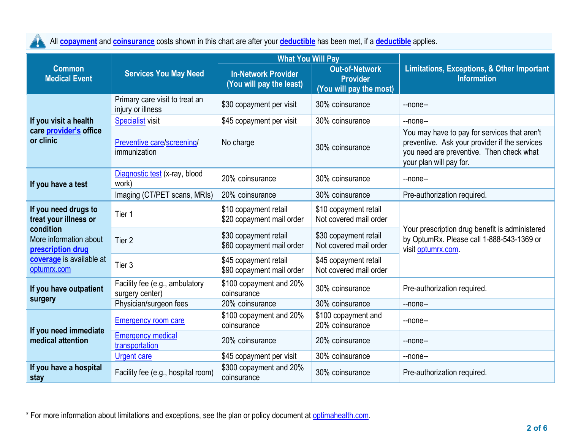All **[copayment](https://www.healthcare.gov/sbc-glossary/#copayment)** and **[coinsurance](https://www.healthcare.gov/sbc-glossary/#coinsurance)** costs shown in this chart are after your **[deductible](https://www.healthcare.gov/sbc-glossary/#deductible)** has been met, if a **[deductible](https://www.healthcare.gov/sbc-glossary/#deductible)** applies. A

|                                                          |                                                     | <b>What You Will Pay</b>                               |                                                                     |                                                                                                                                                                      |  |
|----------------------------------------------------------|-----------------------------------------------------|--------------------------------------------------------|---------------------------------------------------------------------|----------------------------------------------------------------------------------------------------------------------------------------------------------------------|--|
| <b>Common</b><br><b>Medical Event</b>                    | <b>Services You May Need</b>                        | <b>In-Network Provider</b><br>(You will pay the least) | <b>Out-of-Network</b><br><b>Provider</b><br>(You will pay the most) | Limitations, Exceptions, & Other Important<br><b>Information</b>                                                                                                     |  |
|                                                          | Primary care visit to treat an<br>injury or illness | \$30 copayment per visit                               | 30% coinsurance                                                     | $-$ none $-$                                                                                                                                                         |  |
| If you visit a health                                    | <b>Specialist visit</b>                             | \$45 copayment per visit                               | 30% coinsurance                                                     | $-$ none $-$                                                                                                                                                         |  |
| care provider's office<br>or clinic                      | Preventive care/screening/<br>immunization          | No charge                                              | 30% coinsurance                                                     | You may have to pay for services that aren't<br>preventive. Ask your provider if the services<br>you need are preventive. Then check what<br>your plan will pay for. |  |
| If you have a test                                       | Diagnostic test (x-ray, blood<br>work)              | 20% coinsurance                                        | 30% coinsurance                                                     | --none--                                                                                                                                                             |  |
|                                                          | Imaging (CT/PET scans, MRIs)                        | 20% coinsurance                                        | 30% coinsurance                                                     | Pre-authorization required.                                                                                                                                          |  |
| If you need drugs to<br>treat your illness or            | Tier 1                                              | \$10 copayment retail<br>\$20 copayment mail order     | \$10 copayment retail<br>Not covered mail order                     |                                                                                                                                                                      |  |
| condition<br>More information about<br>prescription drug | Tier 2                                              | \$30 copayment retail<br>\$60 copayment mail order     | \$30 copayment retail<br>Not covered mail order                     | Your prescription drug benefit is administered<br>by OptumRx. Please call 1-888-543-1369 or<br>visit optumrx.com.                                                    |  |
| coverage is available at<br>optumrx.com                  | Tier 3                                              | \$45 copayment retail<br>\$90 copayment mail order     | \$45 copayment retail<br>Not covered mail order                     |                                                                                                                                                                      |  |
| If you have outpatient                                   | Facility fee (e.g., ambulatory<br>surgery center)   | \$100 copayment and 20%<br>coinsurance                 | 30% coinsurance                                                     | Pre-authorization required.                                                                                                                                          |  |
| surgery                                                  | Physician/surgeon fees                              | 20% coinsurance                                        | 30% coinsurance                                                     | $-$ none $-$                                                                                                                                                         |  |
|                                                          | <b>Emergency room care</b>                          | \$100 copayment and 20%<br>coinsurance                 | \$100 copayment and<br>20% coinsurance                              | --none--                                                                                                                                                             |  |
| If you need immediate<br>medical attention               | <b>Emergency medical</b><br>transportation          | 20% coinsurance                                        | 20% coinsurance                                                     | $-$ none $-$                                                                                                                                                         |  |
|                                                          | <b>Urgent care</b>                                  | \$45 copayment per visit                               | 30% coinsurance                                                     | --none--                                                                                                                                                             |  |
| If you have a hospital<br>stay                           | Facility fee (e.g., hospital room)                  | \$300 copayment and 20%<br>coinsurance                 | 30% coinsurance                                                     | Pre-authorization required.                                                                                                                                          |  |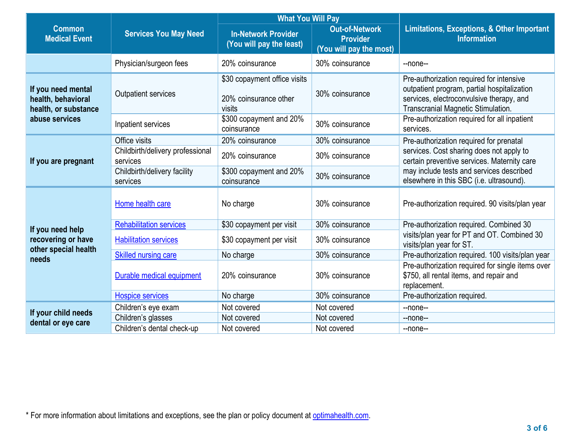|                                                                  |                                              | <b>What You Will Pay</b>                                        |                                                                     |                                                                                                                                                                                 |  |
|------------------------------------------------------------------|----------------------------------------------|-----------------------------------------------------------------|---------------------------------------------------------------------|---------------------------------------------------------------------------------------------------------------------------------------------------------------------------------|--|
| <b>Common</b><br><b>Medical Event</b>                            | <b>Services You May Need</b>                 | <b>In-Network Provider</b><br>(You will pay the least)          | <b>Out-of-Network</b><br><b>Provider</b><br>(You will pay the most) | <b>Limitations, Exceptions, &amp; Other Important</b><br><b>Information</b>                                                                                                     |  |
|                                                                  | Physician/surgeon fees                       | 20% coinsurance                                                 | 30% coinsurance                                                     | --none--                                                                                                                                                                        |  |
| If you need mental<br>health, behavioral<br>health, or substance | <b>Outpatient services</b>                   | \$30 copayment office visits<br>20% coinsurance other<br>visits | 30% coinsurance                                                     | Pre-authorization required for intensive<br>outpatient program, partial hospitalization<br>services, electroconvulsive therapy, and<br>Transcranial Magnetic Stimulation.       |  |
| abuse services                                                   | Inpatient services                           | \$300 copayment and 20%<br>coinsurance                          | 30% coinsurance                                                     | Pre-authorization required for all inpatient<br>services.                                                                                                                       |  |
|                                                                  | Office visits                                | 20% coinsurance                                                 | 30% coinsurance                                                     | Pre-authorization required for prenatal                                                                                                                                         |  |
| If you are pregnant                                              | Childbirth/delivery professional<br>services | 20% coinsurance                                                 | 30% coinsurance                                                     | services. Cost sharing does not apply to<br>certain preventive services. Maternity care<br>may include tests and services described<br>elsewhere in this SBC (i.e. ultrasound). |  |
|                                                                  | Childbirth/delivery facility<br>services     | \$300 copayment and 20%<br>coinsurance                          | 30% coinsurance                                                     |                                                                                                                                                                                 |  |
|                                                                  | Home health care                             | No charge                                                       | 30% coinsurance                                                     | Pre-authorization required. 90 visits/plan year                                                                                                                                 |  |
| If you need help                                                 | <b>Rehabilitation services</b>               | \$30 copayment per visit                                        | 30% coinsurance                                                     | Pre-authorization required. Combined 30                                                                                                                                         |  |
| recovering or have<br>other special health                       | <b>Habilitation services</b>                 | \$30 copayment per visit                                        | 30% coinsurance                                                     | visits/plan year for PT and OT. Combined 30<br>visits/plan year for ST.                                                                                                         |  |
| needs                                                            | <b>Skilled nursing care</b>                  | No charge                                                       | 30% coinsurance                                                     | Pre-authorization required. 100 visits/plan year                                                                                                                                |  |
|                                                                  | Durable medical equipment                    | 20% coinsurance                                                 | 30% coinsurance                                                     | Pre-authorization required for single items over<br>\$750, all rental items, and repair and<br>replacement.                                                                     |  |
|                                                                  | <b>Hospice services</b>                      | No charge                                                       | 30% coinsurance                                                     | Pre-authorization required.                                                                                                                                                     |  |
|                                                                  | Children's eye exam                          | Not covered                                                     | Not covered                                                         | $-$ none $-$                                                                                                                                                                    |  |
| If your child needs                                              | Children's glasses                           | Not covered                                                     | Not covered                                                         | --none--                                                                                                                                                                        |  |
| dental or eye care                                               | Children's dental check-up                   | Not covered                                                     | Not covered                                                         | $-$ none $-$                                                                                                                                                                    |  |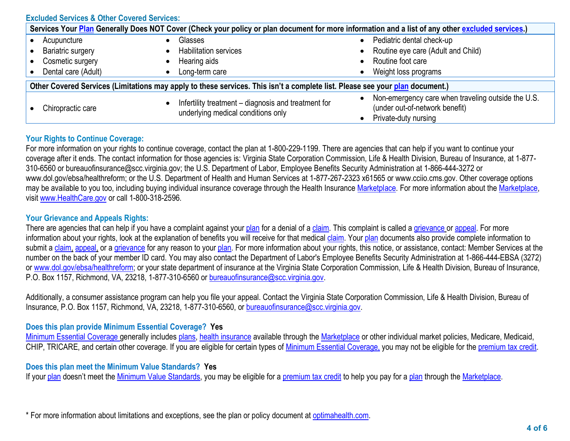| <b>Excluded Services &amp; Other Covered Services:</b>                                                                                           |                                                                                           |                                                                                                              |  |  |  |
|--------------------------------------------------------------------------------------------------------------------------------------------------|-------------------------------------------------------------------------------------------|--------------------------------------------------------------------------------------------------------------|--|--|--|
| Services Your Plan Generally Does NOT Cover (Check your policy or plan document for more information and a list of any other excluded services.) |                                                                                           |                                                                                                              |  |  |  |
| Acupuncture<br><b>Bariatric surgery</b><br>Cosmetic surgery<br>Dental care (Adult)                                                               | Glasses<br><b>Habilitation services</b><br>Hearing aids<br>Long-term care                 | Pediatric dental check-up<br>Routine eye care (Adult and Child)<br>Routine foot care<br>Weight loss programs |  |  |  |
| Other Covered Services (Limitations may apply to these services. This isn't a complete list. Please see your plan document.)                     |                                                                                           |                                                                                                              |  |  |  |
| Chiropractic care                                                                                                                                | Infertility treatment - diagnosis and treatment for<br>underlying medical conditions only | Non-emergency care when traveling outside the U.S.<br>(under out-of-network benefit)<br>Private-duty nursing |  |  |  |

## **Your Rights to Continue Coverage:**

For more information on your rights to continue coverage, contact the plan at 1-800-229-1199. There are agencies that can help if you want to continue your coverage after it ends. The contact information for those agencies is: Virginia State Corporation Commission, Life & Health Division, Bureau of Insurance, at 1-877- 310-6560 or bureauofinsurance@scc.virginia.gov; the U.S. Department of Labor, Employee Benefits Security Administration at 1-866-444-3272 or www.dol.gov/ebsa/healthreform; or the U.S. Department of Health and Human Services at 1-877-267-2323 x61565 or www.cciio.cms.gov. Other coverage options may be available to you too, including buying individual insurance coverage through the Health Insurance [Marketplace.](https://www.healthcare.gov/sbc-glossary/#marketplace) For more information about the [Marketplace,](https://www.healthcare.gov/sbc-glossary/#marketplace) visi[t www.HealthCare.gov](http://www.healthcare.gov/) or call 1-800-318-2596.

## **Your Grievance and Appeals Rights:**

There are agencies that can help if you have a complaint against your [plan](https://www.healthcare.gov/sbc-glossary/#plan) for a denial of a [claim.](https://www.healthcare.gov/sbc-glossary/#claim) This complaint is called a [grievance](https://www.healthcare.gov/sbc-glossary/#grievance) or [appeal.](https://www.healthcare.gov/sbc-glossary/#appeal) For more information about your rights, look at the explanation of benefits you will receive for that medical [claim.](https://www.healthcare.gov/sbc-glossary/#claim) Your [plan](https://www.healthcare.gov/sbc-glossary/#plan) documents also provide complete information to submit a [claim,](https://www.healthcare.gov/sbc-glossary/#claim) [appeal,](https://www.healthcare.gov/sbc-glossary/#appeal) or a [grievance](https://www.healthcare.gov/sbc-glossary/#grievance) for any reason to your [plan.](https://www.healthcare.gov/sbc-glossary/#plan) For more information about your rights, this notice, or assistance, contact: Member Services at the number on the back of your member ID card. You may also contact the Department of Labor's Employee Benefits Security Administration at 1-866-444-EBSA (3272) or [www.dol.gov/ebsa/healthreform;](http://www.dol.gov/ebsa/healthreform) or your state department of insurance at the Virginia State Corporation Commission, Life & Health Division, Bureau of Insurance, P.O. Box 1157, Richmond, VA, 23218, 1-877-310-6560 or [bureauofinsurance@scc.virginia.gov.](mailto:bureauofinsurance@scc.virginia.gov)

Additionally, a consumer assistance program can help you file your appeal. Contact the Virginia State Corporation Commission, Life & Health Division, Bureau of Insurance, P.O. Box 1157, Richmond, VA, 23218, 1-877-310-6560, or [bureauofinsurance@scc.virginia.gov.](mailto:bureauofinsurance@scc.virginia.gov)

## **Does this plan provide Minimum Essential Coverage? Yes**

[Minimum Essential Coverage g](https://www.healthcare.gov/sbc-glossary/#minimum-essential-coverage)enerally includes [plans,](https://www.healthcare.gov/sbc-glossary/#plan) [health insurance](https://www.healthcare.gov/sbc-glossary/#health-insurance) available through the [Marketplace](https://www.healthcare.gov/sbc-glossary/#marketplace) or other individual market policies, Medicare, Medicaid, CHIP, TRICARE, and certain other coverage. If you are eligible for certain types of [Minimum Essential Coverage,](https://www.healthcare.gov/sbc-glossary/#minimum-essential-coverage) you may not be eligible for the [premium tax credit.](https://www.healthcare.gov/sbc-glossary/#premium-tax-credits)

## **Does this plan meet the Minimum Value Standards? Yes**

If your [plan](https://www.healthcare.gov/sbc-glossary/#plan) doesn't meet the [Minimum Value Standards,](https://www.healthcare.gov/sbc-glossary/#minimum-value-standard) you may be eligible for a [premium tax credit](https://www.healthcare.gov/sbc-glossary/#premium-tax-credits) to help you pay for a [plan](https://www.healthcare.gov/sbc-glossary/#plan) through the [Marketplace.](https://www.healthcare.gov/sbc-glossary/#marketplace)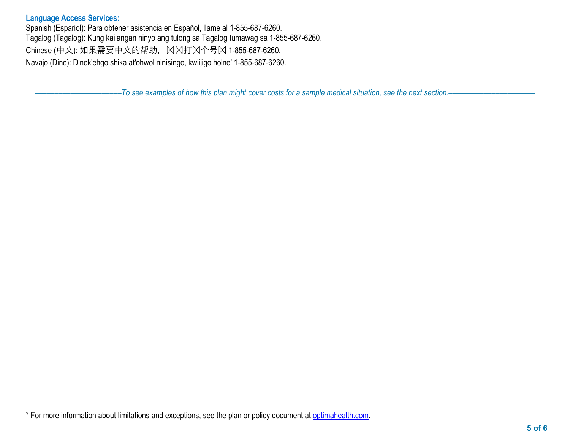#### **Language Access Services:**

Spanish (Español): Para obtener asistencia en Español, llame al 1-855-687-6260. Tagalog (Tagalog): Kung kailangan ninyo ang tulong sa Tagalog tumawag sa 1-855-687-6260. Chinese (中文): 如果需要中文的帮助, 区区打区个号区 1-855-687-6260. Navajo (Dine): Dinek'ehgo shika at'ohwol ninisingo, kwiijigo holne' 1-855-687-6260.

––––––––––––––––––––––*To see examples of how this plan might cover costs for a sample medical situation, see the next section.–––––––––––*–––––––––––